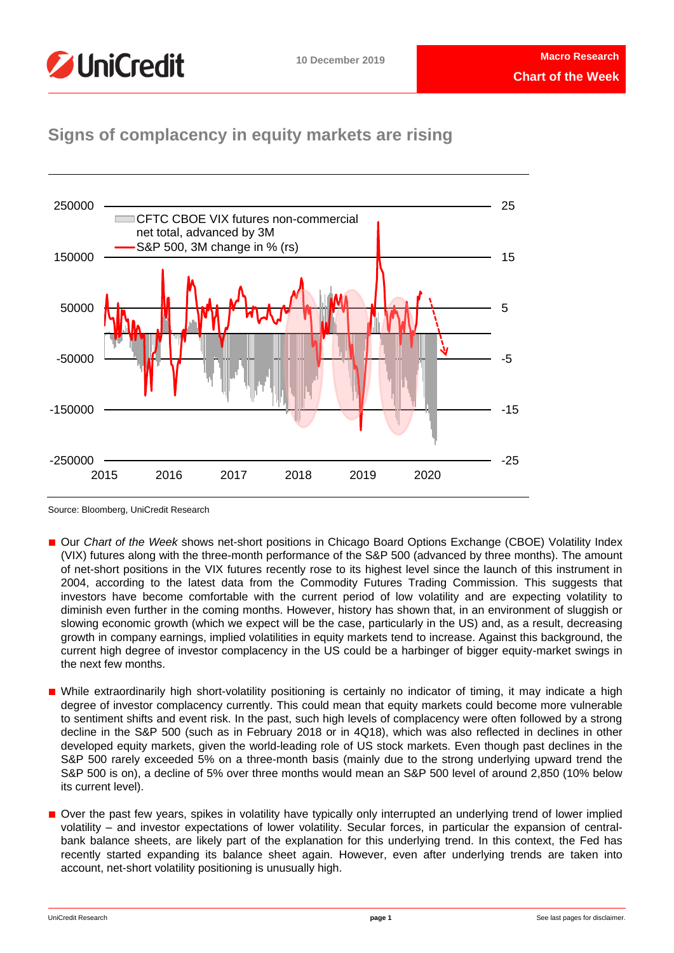

# **Signs of complacency in equity markets are rising**



Source: Bloomberg, UniCredit Research

- Our *Chart of the Week* shows net-short positions in Chicago Board Options Exchange (CBOE) Volatility Index (VIX) futures along with the three-month performance of the S&P 500 (advanced by three months). The amount of net-short positions in the VIX futures recently rose to its highest level since the launch of this instrument in 2004, according to the latest data from the Commodity Futures Trading Commission. This suggests that investors have become comfortable with the current period of low volatility and are expecting volatility to diminish even further in the coming months. However, history has shown that, in an environment of sluggish or slowing economic growth (which we expect will be the case, particularly in the US) and, as a result, decreasing growth in company earnings, implied volatilities in equity markets tend to increase. Against this background, the current high degree of investor complacency in the US could be a harbinger of bigger equity-market swings in the next few months.
- While extraordinarily high short-volatility positioning is certainly no indicator of timing, it may indicate a high degree of investor complacency currently. This could mean that equity markets could become more vulnerable to sentiment shifts and event risk. In the past, such high levels of complacency were often followed by a strong decline in the S&P 500 (such as in February 2018 or in 4Q18), which was also reflected in declines in other developed equity markets, given the world-leading role of US stock markets. Even though past declines in the S&P 500 rarely exceeded 5% on a three-month basis (mainly due to the strong underlying upward trend the S&P 500 is on), a decline of 5% over three months would mean an S&P 500 level of around 2,850 (10% below its current level).
- Over the past few years, spikes in volatility have typically only interrupted an underlying trend of lower implied volatility – and investor expectations of lower volatility. Secular forces, in particular the expansion of centralbank balance sheets, are likely part of the explanation for this underlying trend. In this context, the Fed has recently started expanding its balance sheet again. However, even after underlying trends are taken into account, net-short volatility positioning is unusually high.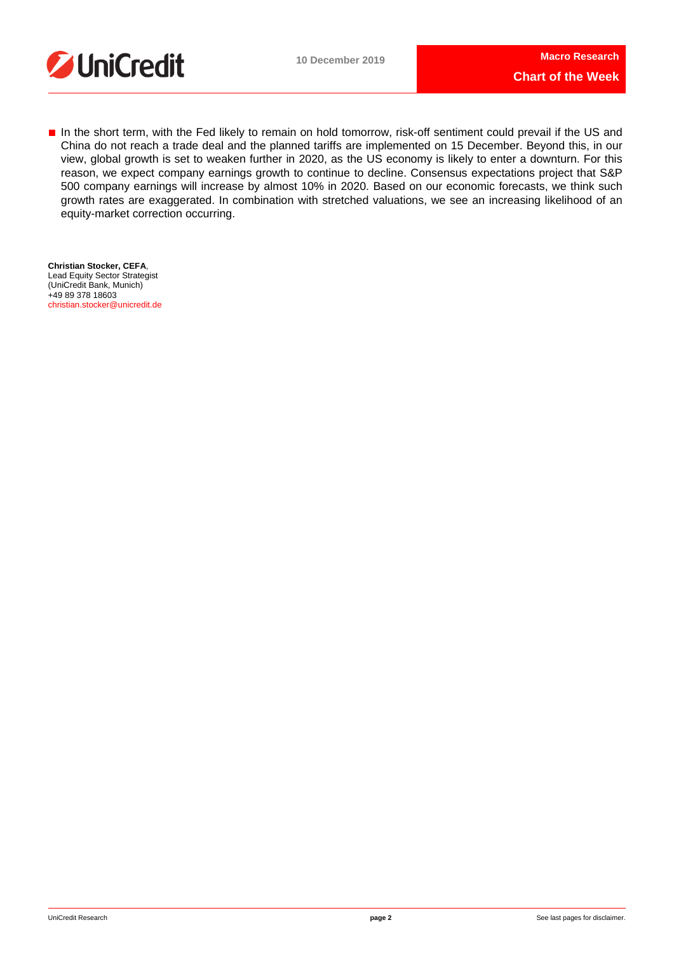



■ In the short term, with the Fed likely to remain on hold tomorrow, risk-off sentiment could prevail if the US and China do not reach a trade deal and the planned tariffs are implemented on 15 December. Beyond this, in our view, global growth is set to weaken further in 2020, as the US economy is likely to enter a downturn. For this reason, we expect company earnings growth to continue to decline. Consensus expectations project that S&P 500 company earnings will increase by almost 10% in 2020. Based on our economic forecasts, we think such growth rates are exaggerated. In combination with stretched valuations, we see an increasing likelihood of an equity-market correction occurring.

**Christian Stocker, CEFA**, Lead Equity Sector Strategist (UniCredit Bank, Munich) +49 89 378 18603 [christian.stocker@unicredit.de](mailto:christian.stocker@unicredit.de)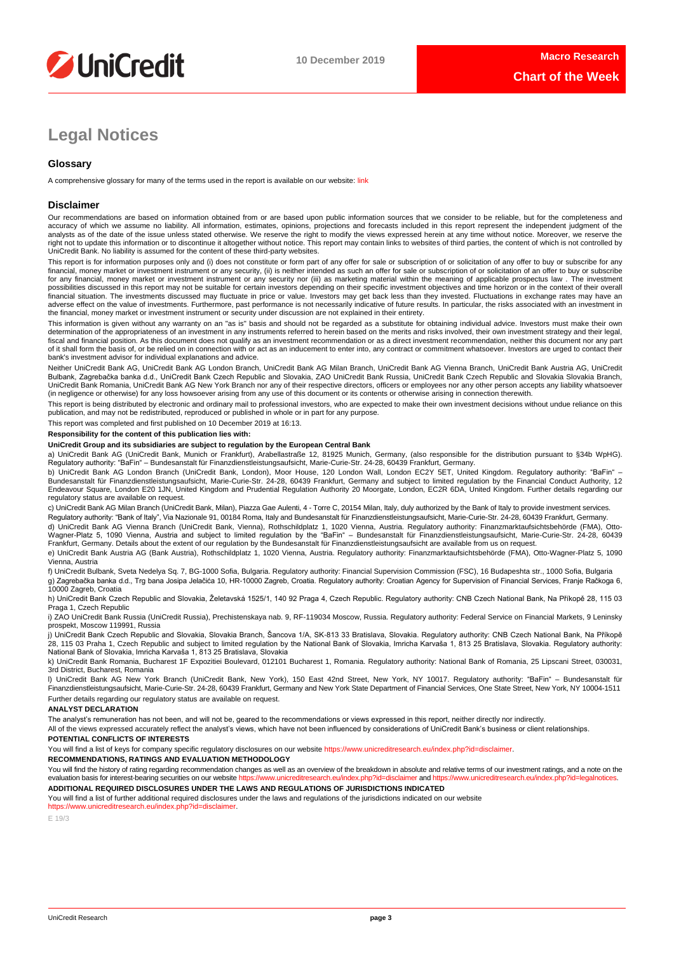

# **Legal Notices**

## **Glossary**

A comprehensive glossary for many of the terms used in the report is available on our website: [link](https://www.unicreditresearch.eu/index.php?id=glossary)

### **Disclaimer**

Our recommendations are based on information obtained from or are based upon public information sources that we consider to be reliable, but for the completeness and<br>accuracy of which we assume no liability. All informatio analysts as of the date of the issue unless stated otherwise. We reserve the right to modify the views expressed herein at any time without notice. Moreover, we reserve the right not to update this information or to discontinue it altogether without notice. This report may contain links to websites of third parties, the content of which is not controlled by<br>UniCredit Bank. No liability is ass

This report is for information purposes only and (i) does not constitute or form part of any offer for sale or subscription of or solicitation of any offer to buy or subscribe for any<br>financial, money market or investment for any financial, money market or investment instrument or any security nor (iii) as marketing material within the meaning of applicable prospectus law . The investment possibilities discussed in this report may not be suitable for certain investors depending on their specific investment objectives and time horizon or in the context of their overall<br>financial situation. The investments di adverse effect on the value of investments. Furthermore, past performance is not necessarily indicative of future results. In particular, the risks associated with an investment in the financial, money market or investment instrument or security under discussion are not explained in their entirety.

This information is given without any warranty on an "as is" basis and should not be regarded as a substitute for obtaining individual advice. Investors must make their own determination of the appropriateness of an investment in any instruments referred to herein based on the merits and risks involved, their own investment strategy and their legal, fiscal and financial position. As this document does not qualify as an investment recommendation or as a direct investment recommendation, neither this document nor any part of it shall form the basis of, or be relied on in connection with or act as an inducement to enter into, any contract or commitment whatsoever. Investors are urged to contact their bank's investment advisor for individual explanations and advice.

Neither UniCredit Bank AG, UniCredit Bank AG London Branch, UniCredit Bank AG Milan Branch, UniCredit Bank AG Vienna Branch, UniCredit Bank Austria AG, UniCredit Bulbank, Zagrebačka banka d.d., UniCredit Bank Czech Republic and Slovakia, ZAO UniCredit Bank Russia, UniCredit Bank Czech Republic and Slovakia Slovakia Branch,<br>UniCredit Bank Romania, UniCredit Bank AG New York Branch n (in negligence or otherwise) for any loss howsoever arising from any use of this document or its contents or otherwise arising in connection therewith.

This report is being distributed by electronic and ordinary mail to professional investors, who are expected to make their own investment decisions without undue reliance on this publication, and may not be redistributed, reproduced or published in whole or in part for any purpose.

This report was completed and first published on 10 December 2019 at 16:13.

### **Responsibility for the content of this publication lies with:**

#### **UniCredit Group and its subsidiaries are subject to regulation by the European Central Bank**

a) UniCredit Bank AG (UniCredit Bank, Munich or Frankfurt), Arabellastraße 12, 81925 Munich, Germany, (also responsible for the distribution pursuant to §34b WpHG). Regulatory authority: "BaFin" – Bundesanstalt für Finanzdienstleistungsaufsicht, Marie-Curie-Str. 24-28, 60439 Frankfurt, Germany.

b) UniCredit Bank AG London Branch (UniCredit Bank, London), Moor House, 120 London Wall, London EC2Y 5ET, United Kingdom. Regulatory authority: "BaFin" –<br>Bundesanstalt für Finanzdienstleistungsaufsicht, Marie-Curie-Str. 2 Endeavour Square, London E20 1JN, United Kingdom and Prudential Regulation Authority 20 Moorgate, London, EC2R 6DA, United Kingdom. Further details regarding our regulatory status are available on request.

c) UniCredit Bank AG Milan Branch (UniCredit Bank, Milan), Piazza Gae Aulenti, 4 - Torre C, 20154 Milan, Italy, duly authorized by the Bank of Italy to provide investment services. Regulatory authority: "Bank of Italy", Via Nazionale 91, 00184 Roma, Italy and Bundesanstalt für Finanzdienstleistungsaufsicht, Marie-Curie-Str. 24-28, 60439 Frankfurt, Germany.

d) UniCredit Bank AG Vienna Branch (UniCredit Bank, Vienna), Rothschildplatz 1, 1020 Vienna, Austria. Regulatory authority: Finanzmarktaufsichtsbehörde (FMA), Otto-Wagner-Platz 5, 1090 Vienna, Austria and subject to limited regulation by the "BaFin" – Bundesanstalt für Finanzdienstleistungsaufsicht, Marie-Curie-Str. 24-28, 60439<br>Frankfurt, Germany. Details about the extent of our reg

e) UniCredit Bank Austria AG (Bank Austria), Rothschildplatz 1, 1020 Vienna, Austria. Regulatory authority: Finanzmarktaufsichtsbehörde (FMA), Otto-Wagner-Platz 5, 1090 Vienna, Austria

f) UniCredit Bulbank, Sveta Nedelya Sq. 7, BG-1000 Sofia, Bulgaria. Regulatory authority: Financial Supervision Commission (FSC), 16 Budapeshta str., 1000 Sofia, Bulgaria g) Zagrebačka banka d.d., Trg bana Josipa Jelačića 10, HR-10000 Zagreb, Croatia. Regulatory authority: Croatian Agency for Supervision of Financial Services, Franje Račkoga 6, 10000 Zagreb, Croatia

h) UniCredit Bank Czech Republic and Slovakia, Želetavská 1525/1, 140 92 Praga 4, Czech Republic. Regulatory authority: CNB Czech National Bank, Na Příkopě 28, 115 03 Praga 1, Czech Republic

i) ZAO UniCredit Bank Russia (UniCredit Russia), Prechistenskaya nab. 9, RF-119034 Moscow, Russia. Regulatory authority: Federal Service on Financial Markets, 9 Leninsky prospekt, Moscow 119991, Russia

j) UniCredit Bank Czech Republic and Slovakia, Slovakia Branch, Šancova 1/A, SK-813 33 Bratislava, Slovakia. Regulatory authority: CNB Czech National Bank, Na Příkopě 28, 115 03 Praha 1, Czech Republic and subject to limited regulation by the National Bank of Slovakia, Imricha Karvaša 1, 813 25 Bratislava, Slovakia. Regulatory authority: National Bank of Slovakia, Imricha Karvaša 1, 813 25 Bratislava, Slovakia

k) UniCredit Bank Romania, Bucharest 1F Expozitiei Boulevard, 012101 Bucharest 1, Romania. Regulatory authority: National Bank of Romania, 25 Lipscani Street, 030031, 3rd District, Bucharest, Romania

l) UniCredit Bank AG New York Branch (UniCredit Bank, New York), 150 East 42nd Street, New York, NY 10017. Regulatory authority: "BaFin" – Bundesanstalt für Finanzdienstleistungsaufsicht, Marie-Curie-Str. 24-28, 60439 Frankfurt, Germany and New York State Department of Financial Services, One State Street, New York, NY 10004-1511 Further details regarding our regulatory status are available on request.

#### **ANALYST DECLARATION**

The analyst's remuneration has not been, and will not be, geared to the recommendations or views expressed in this report, neither directly nor indirectly.

All of the views expressed accurately reflect the analyst's views, which have not been influenced by considerations of UniCredit Bank's business or client relationships.

#### **POTENTIAL CONFLICTS OF INTERESTS**

You will find a list of keys for company specific regulatory disclosures on our website https://www.unicreditresearch.eu/index.php?id=disclaimer

#### **RECOMMENDATIONS, RATINGS AND EVALUATION METHODOLOGY**

You will find the history of rating regarding recommendation changes as well as an overview of the breakdown in absolute and relative terms of our investment ratings, and a note on the evaluation basis for interest-bearing evaluation basis for interest-bearing securities on our website https://www.unicreditresearch.eurindex.php?id= **ADDITIONAL REQUIRED DISCLOSURES UNDER THE LAWS AND REGULATIONS OF JURISDICTIONS INDICATED**

You will find a list of further additional required disclosures under the laws and requlations of the jurisdictions indicated on our website

[https://www.unicreditresearch.eu/index.php?id=disclaimer.](https://www.unicreditresearch.eu/index.php?id=disclaimer) 

E 19/3